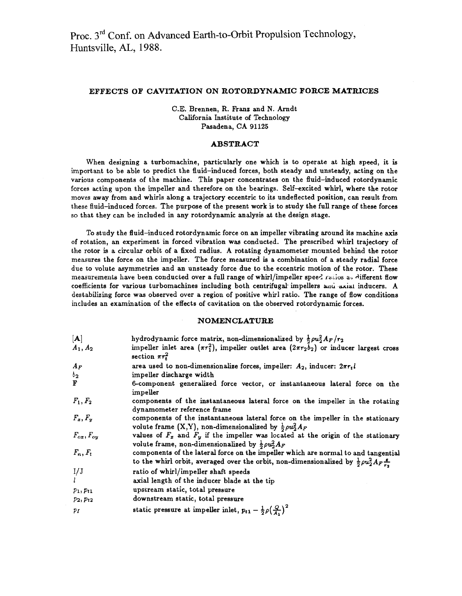# **EFFECTS OF CAVITATION ON ROTORDYNAMIC FORCE MATRICES**

C.E. Brennen, R. Franz and N. Arndt California Institute of Technology Pasadena, CA *91125* 

### **ABSTRACT**

When designing a turbomachine, particularly one which is to operate at high speed, it is important to be able to predict the fluid-induced forces, both steady and unsteady, acting on the various components of the machine. This paper concentrates on the fluid-induced rotordynamic forces acting upon the impeller and therefore on the bearings. Self-excited whirl, where the rotor moves away from and whirls along a trajectory eccentric to its undeflected position, can result from these fluid-induced forces. The purpose of the present work is to study the full range of these forces so that they can be included in any rotordynamic analysis at the design stage.

To study the fluid-induced rotordynamic force on an impeller vibrating around its machine **axis**  of rotation, an experiment in forced vibration was conducted. The prescribed whirl trajectory of the rotor is a circular orbit of a fixed radius. A rotating dynamometer mounted behind the rotor measures the force on the impeller. The force measured is a combination of a steady radial force due to volute asymmetries and an unsteady force due to the eccentric motion of the rotor. These measurements have been conducted over a full range of whirl/impeller speed ratios at different flow coefficients for various turbomachines including both centrifugal impellers and axiat inducers. A destabilizing force was observed over a region of positive whirl ratio. The range of flow conditions includes an examination of the effects of cavitation on the observed rotordynamic forces.

#### **NOMENCLATURE**

| $[\mathbf{A}]$      | hydrodynamic force matrix, non-dimensionalized by $\frac{1}{2}\rho u_2^2 A_F/r_2$                                                                                                       |
|---------------------|-----------------------------------------------------------------------------------------------------------------------------------------------------------------------------------------|
| $A_1, A_2$          | impeller inlet area $(\pi r_1^2)$ , impeller outlet area $(2\pi r_2 b_2)$ or inducer largest cross<br>section $\pi r_t^2$                                                               |
| $A_F$               | area used to non-dimensionalize forces, impeller: $A_2$ , inducer: $2\pi r_t l$                                                                                                         |
| $b_{2}$             | impeller discharge width                                                                                                                                                                |
| F                   | 6-component generalized force vector, or instantaneous lateral force on the<br>impeller                                                                                                 |
| $F_1, F_2$          | components of the instantaneous lateral force on the impeller in the rotating<br>dynamometer reference frame                                                                            |
| $F_x, F_y$          | components of the instantaneous lateral force on the impeller in the stationary<br>volute frame $(X,Y)$ , non-dimensionalized by $\frac{1}{2}\rho u_2^2 A_F$                            |
| $F_{ox}$ , $F_{oy}$ | values of $F_x$ and $F_y$ if the impeller was located at the origin of the stationary<br>volute frame, non-dimensionalized by $\frac{1}{2}\rho u_2^2 A_F$                               |
| $F_n, F_t$          | components of the lateral force on the impeller which are normal to and tangential<br>to the whirl orbit, averaged over the orbit, non-dimensionalized by $\frac{1}{2}\rho u_2^2 A_F$ . |
| I/J                 | ratio of whirl/impeller shaft speeds                                                                                                                                                    |
| $\mathbf{l}$        | axial length of the inducer blade at the tip                                                                                                                                            |
| $p_1, p_{t1}$       | upstream static, total pressure                                                                                                                                                         |
| $p_2, p_{t2}$       | downstream static, total pressure                                                                                                                                                       |
| $p_I$               | static pressure at impeller inlet, $p_{t1} - \frac{1}{2}\rho\left(\frac{Q}{A_t}\right)^2$                                                                                               |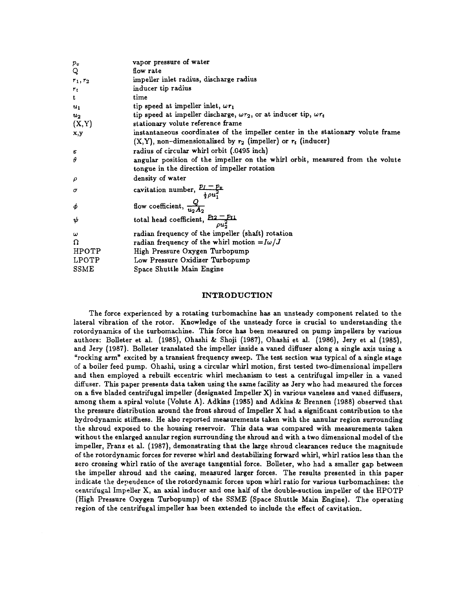| vapor pressure of water                                                                               |
|-------------------------------------------------------------------------------------------------------|
| flow rate                                                                                             |
| impeller inlet radius, discharge radius                                                               |
| inducer tip radius                                                                                    |
| time                                                                                                  |
| tip speed at impeller inlet, $\omega r_1$                                                             |
| tip speed at impeller discharge, $\omega r_2$ , or at inducer tip, $\omega r_t$                       |
| stationary volute reference frame                                                                     |
| instantaneous coordinates of the impeller center in the stationary volute frame                       |
| $(X,Y)$ , non-dimensionalized by $r_2$ (impeller) or $r_t$ (inducer)                                  |
| radius of circular whirl orbit (.0495 inch)                                                           |
| angular position of the impeller on the whirl orbit, measured from the volute                         |
| tongue in the direction of impeller rotation                                                          |
| density of water                                                                                      |
| cavitation number, $\frac{p_I - p_v}{\frac{1}{2}\rho u_1^2}$<br>flow coefficient, $\frac{Q}{u_2 A_2}$ |
|                                                                                                       |
| total head coefficient, $p_{t2} - p_{t1}$                                                             |
| radian frequency of the impeller (shaft) rotation                                                     |
| radian frequency of the whirl motion $=I\omega/J$                                                     |
| High Pressure Oxygen Turbopump                                                                        |
| Low Pressure Oxidizer Turbopump                                                                       |
| Space Shuttle Main Engine                                                                             |
|                                                                                                       |

# **INTRODUCTION**

The force experienced by a rotating turbomachine has an unsteady component related to the lateral vibration of the rotor. Knowledge of the unsteady force is crucial to understanding the rotordynamics of the turbomachine. This force has been measured on pump impellers by various authors: Bolleter et al. (1985), Ohashi & Shoji (1987), Ohashi et **al.** (1986), Jery et a1 (1985), and Jery (1987). Bolleter translated the impeller inside a vaned diffuser along a single axis using a "rocking arm" excited by a transient frequency sweep. The test section was typical of a single stage of a boiler feed pump. Ohashi, using a circular whirl motion, first tested two-dimensional impellers and then employed a rebuilt eccentric whirl mechanism to test a centrifugal impeller in a vaned diffuser. This paper presents data taken using the same facility as Jery who had measured the forces on a five bladed centrifugal impeller (designated Impeller X) in various vaneless and vaned diffusers, among them a spiral volute (Volute A). Adkins (1985) and Adkins & Brennen (1988) observed that the pressure distribution around the front shroud of Impeller X had a significant contribution to the hydrodynamic stiffness. He also reported measurements taken with the annular region surrounding the shroud exposed to the housing reservoir. This data was compared with measurements taken without the enlarged annular region surrounding the shroud and with a two dimensional model of the impeller, Franz et al. (1987), demonstrating that the large shroud clearances reduce the magnitude of the rotordynamic forces for reverse whirl and destabilizing forward whirl, whirl ratios less than the zero crossing whirl ratio of the average tangential force. Bolleter, who had a smaller gap between the impeller shroud and the casing, measured larger forces. The results presented in this paper indicate the dependence of the rotordynamic forces upon whirl ratio for various turbomachines: the centrlfugiil Impeller **XI** an axial inducer and one **half** of the double-suction impeller of the HPOTP (High Pressure Oxygen Turbopump) of the SSME (Space Shuttle Main Engine). The operating region of the centrifugal impeller has been extended to include the effect of cavitation.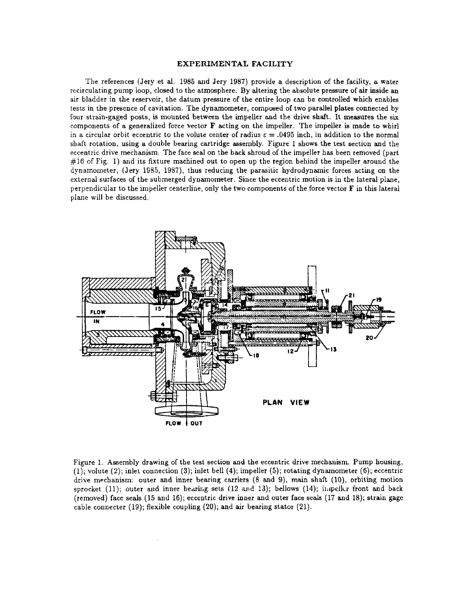#### **EXPERIMENTAL FACILITY**

The references (Jery et al. 1985 and Jery 1987) provide a description of the facility, a water recirculating pump loop, closed to the atmosphere. By altering the absolute pressure of air **inside** an air bladder in the reservoir, the datum pressure of the entire loop can be controlled which enables tests in the presence of cavitation. The dynamometer, composed of two parallel plates connected by four strain-gaged posts, is mounted between the impeller and the drive shaft. It measures the six components of a generalized force vector  $\bf{F}$  acting on the impeller. The impeller is made to whirl in a circular orbit eccentric to the volute center of radius  $\varepsilon = .0495$  inch, in addition to the normal shaft rotation, using a double bearing cartridge assembly. Figure 1 shows the test section and the eccentric drive mechanism. The face seal on the **back** shroud of the impeller has been removed (part  $\#16$  of Fig. 1) and its fixture machined out to open up the region behind the impeller around the dynamometer, (Jery 1985, 1987), thus reducing the parasitic hydrodynamic forces acting on the external surfaces of the submerged dynamometer. Since the eccentric motion is in the lateral piane, perpendicular to the impeller centerline, only the two components of the force vector  $\bf{F}$  in this lateral plane will be discussed.



Figure 1. Assembly drawing of the test section and the eccentric drive mechanism. Pump housing, (1); volute (2); inlet connection **(3);** inlet bell (4); impeller (5); rotating dynamometer *(6);* eccentric drive mechanism: outer and inner bearing carriers (8 and 9), **main** shaft (lo), orbiting motion sprocket. (11); outer and inner bearing sets  $(12 \text{ and } 13)$ ; bellows  $(14)$ ; impeller front and back (removed) face seals (15 and 16); eccentric drive inner and outer face **seals** (17 and 18); strain gage cable connecter (19); flexible coupling (20); and air bearing stator (21).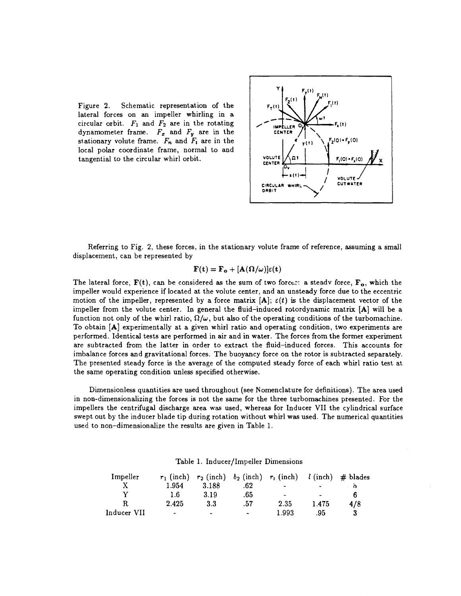Figure **2.** Schematic representation of the lateral forces on an impeller whirling in a circular orbit.  $F_1$  and  $F_2$  are in the rotating dynamometer frame.  $F_x$  and  $F_y$  are in the **CENTER** stationary volute frame.  $F_n$  and  $F_i$  are in the local polar coordinate frame, normal to and tangential to the circular whirl orbit. **VOLUTE** 



Referring to Fig. **2,** these forces, in the stationary volute frame of reference, assuming a small displacement, can be represented by

$$
\mathbf{F}(\mathbf{t}) = \mathbf{F_o} + [\mathbf{A}(\mathbf{\Omega}/\omega)]\varepsilon(\mathbf{t})
$$

The lateral force,  $F(t)$ , can be considered as the sum of two forces: a steady force,  $F_o$ , which the impeller would experience if located at the volute center, and an unsteady force due to the eccentric motion of the impeller, represented by a force matrix  $[A]$ ;  $\varepsilon(t)$  is the displacement vector of the impeller from the volute center. In general the fluid-induced rotordynamic matrix **[A]** will be a function not only of the whirl ratio,  $\Omega/\omega$ , but also of the operating conditions of the turbomachine. To obtain **[A]** experimentally at a given whirl ratio and operating condition, two experiments are performed. Identical tests are performed in air and in water. The forces from the former experiment are subtracted from the latter in order to extract the fluid-induced forces. This accounts for imbalance forces and gravitational forces. The buoyancy force on the rotor is subtracted separately. The presented steady force is the average of the computed steady force of each whirl ratio test at the same operating condition unless specified otherwise.

Dimensionless quantities are used throughout (see Nomenclature for definitions). The area used in non-dimensionalizing the forces is not the same for the three turbomachines presented. For the impellers the centrifugal discharge area was used, whereas for Inducer VII the cylindrical surface swept out by the inducer blade tip during rotation without whirl was used. The numerical quantities used to non-dimensionalize the results are given in Table **1.** 

| Impeller    |                          |       |                | $r_1$ (inch) $r_2$ (inch) $b_2$ (inch) $r_t$ (inch) $l$ (inch) $\#$ blades |                          |     |
|-------------|--------------------------|-------|----------------|----------------------------------------------------------------------------|--------------------------|-----|
|             | 1.954                    | 3.188 | .62            | $\overline{\phantom{0}}$                                                   | $\overline{\phantom{a}}$ |     |
|             | 1.6                      | 3.19  | .65            | $\overline{\phantom{a}}$                                                   | $\overline{a}$           |     |
| R           | 2.425                    | 3.3   | .57            | 2.35                                                                       | 1.475                    | 4/8 |
| Inducer VII | $\overline{\phantom{a}}$ | -     | $\blacksquare$ | 1.993                                                                      | .95                      |     |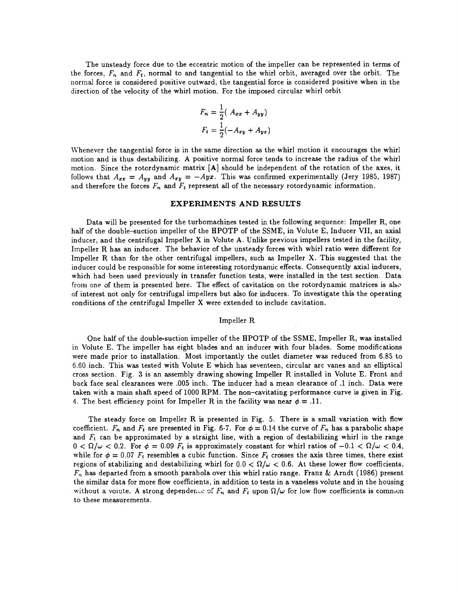The unsteady force due to the eccentric motion of the impeller can be represented in terms of the forces,  $F_n$  and  $F_t$ , normal to and tangential to the whirl orbit, averaged over the orbit. The normal force is considered positive outward, the tangential force is considered positive when in the direction of the velocity of the whirl motion. For the imposed circular whirl orbit

$$
F_n = \frac{1}{2} (A_{xx} + A_{yy})
$$
  

$$
F_t = \frac{1}{2} (-A_{xy} + A_{yx})
$$

Whenever the tangential force is in the same direction as the whirl motion it encourages the whirl motion and is thus destabilizing. **A** positive normal force tends to increase the radius of the whirl motion. Since the rotordynamic matrix **[A]** should be independent of the rotation of the axes, it follows that  $A_{xx} = A_{yy}$  and  $A_{xy} = -Ayx$ . This was confirmed experimentally (Jery 1985, 1987) and therefore the forces  $F_n$  and  $F_t$  represent all of the necessary rotordynamic information.

# **EXPERIMENTS AND RESULTS**

Data will be presented for the turbomachines tested in the following sequence: Impeller R, one half of the double-suction impeller of the HPOTP of the SSME, in Volute E, Inducer VII, an axial inducer, and the centrifugal Impeller X in Volute A. Unlike previous impellers tested in the facility, Impeller R has an inducer. The behavior of the unsteady forces with whirl ratio were different for Impeller R than for the other centrifugal impellers, such as Impeller X. This suggested that the inducer could be responsible for some interesting rotordynamic effects. Consequently axial inducers, which had been used previously in transfer function tests, were installed in the test section. Data from one of them is presented here. The effect of cavitation on the rotordynamic matrices is also of interest not only for centrifugal impellers but also for inducers. To investigate this the operating conditions of the centrifugal Impeller X were extended to include cavitation.

# Impeller R

One half of the double-suction impeller of the HPOTP of the SSME, Impeller R, was installed in Volute E. The impeller has eight blades and an inducer with four blades. Some modifications were made prior to installation. Most importantly the outlet diameter was reduced from 6.85 to 6.60 inch. This was tested with Volute E which has seventeen, circular arc vanes and an elliptical cross section. Fig. **3** is an assembly drawing showing Impeller R installed in Volute E. Front and back face seal clearances were .005 inch. The inducer had a mean clearance of .l inch. Data were taken with a main shaft speed of 1000 RPM. The non-cavitating performance curve is given in Fig. 4. The best efficiency point for Impeller R in the facility was near  $\phi = .11$ .

The steady force on Impeller R is presented in Fig. 5. There is a small variation with flow coefficient.  $F_n$  and  $F_t$  are presented in Fig. 6-7. For  $\phi = 0.14$  the curve of  $F_n$  has a parabolic shape and  $F_t$  can be approximated by a straight line, with a region of destabilizing whirl in the range  $0 < \Omega/\omega < 0.2$ . For  $\phi = 0.09$   $F_t$  is approximately constant for whirl ratios of  $-0.1 < \Omega/\omega < 0.4$ , while for  $\phi = 0.07$   $F_t$  resembles a cubic function. Since  $F_t$  crosses the axis three times, there exist. regions of stabilizing and destabilizing whirl for  $0.0 < \Omega/\omega < 0.6$ . At these lower flow coefficients, Fn has departed from a smooth parabola over this whirl ratio range. Franz **8i** Arndt (1986) present the similar data for more flow coefficients, in addition to tests in a vaneless volute and in the housing without a volute. A strong dependence of  $F_n$  and  $F_t$  upon  $\Omega/\omega$  for low flow coefficients is comnon to these measurements.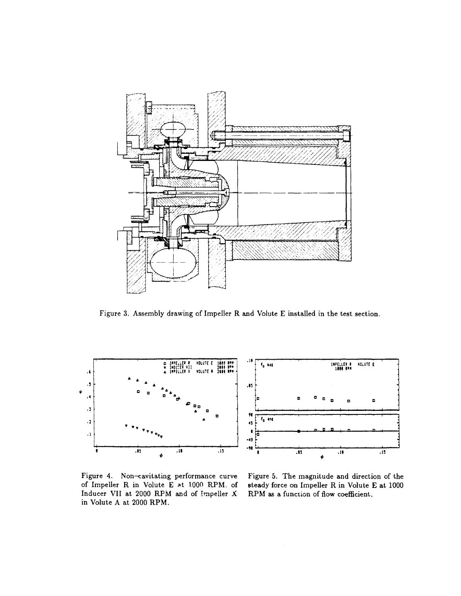

Figure **3.** Assembly drawing of Impeller R and Volute E installed in the test section.



Figure 4. Non-cavitating performance curve Figure 5. The magnitude and direction of the Inducer VII at 2000 RPM and of Impeller X RPM as a function of flow coefficient. in Volute A at 2000 RPM.

of Impeller R in Volute E **at** 1000 RPM. of steady force on Impeller R in Volute E at 1000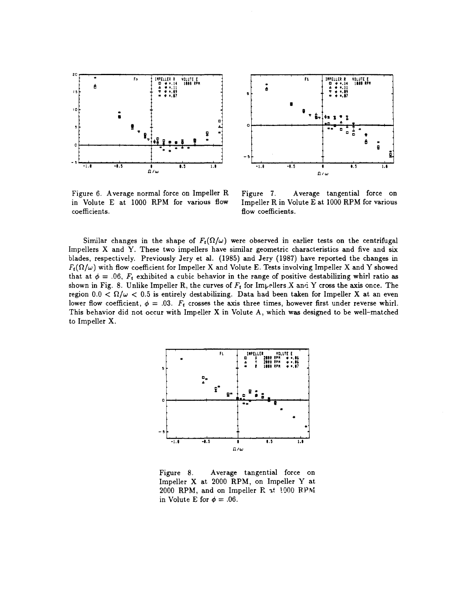



Figure *6.* Average normal force on Impeller R in Volute E at 1000 RPM for various flow coefficients.

Figure 7. Average tangential force on Impeller R in Volute E at *1000* RPM for various flow coefficients.

Similar changes in the shape of  $F_t(\Omega/\omega)$  were observed in earlier tests on the centrifugal Impellers X and Y. These two impellers have similar geometric characteristics and five and six blades, respectively. Previously Jery et **al.** *(1985)* and Jery *(1987)* have reported the changes in  $F_t(\Omega/\omega)$  with flow coefficient for Impeller X and Volute E. Tests involving Impeller X and Y showed that at  $\phi = .06$ ,  $F_t$  exhibited a cubic behavior in the range of positive destabilizing whirl ratio as shown in Fig. *8.* Unlike Impeller R, the curves of *Ft* for 1mp~llers.X and Y cross the **axis** once. The region  $0.0 < \Omega/\omega < 0.5$  is entirely destabilizing. Data had been taken for Impeller X at an even lower flow coefficient,  $\phi = .03$ .  $F_t$  crosses the axis three times, however first under reverse whirl. This behavior did not occur with Impeller X in Volute A, which was designed to be well-matched to Impeller X.



Figure *8.* Average tangential force on Impeller X at *2000* RPM, on Impeller Y at *2000* RPM, and on Impeller **R 3!** 1'300 **RPbi**  in Volute E for  $\phi = .06$ .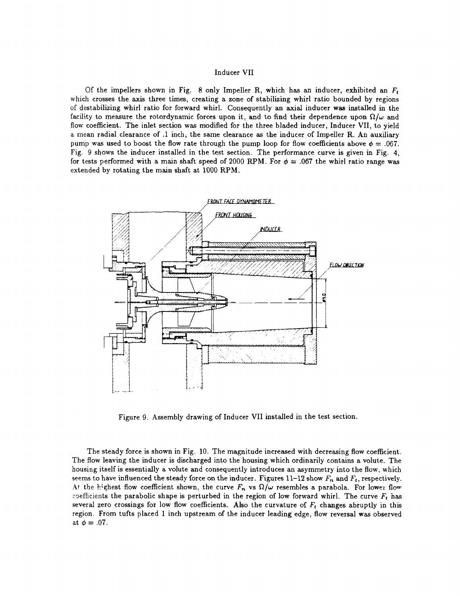#### Inducer VII

Of the impellers shown in Fig. 8 only Impeller R, which has an inducer, exhibited an *Fi*  which crosses the **axis** three times, creating a zone of stabilizing whirl ratio bounded by regions of destabilizing whirl ratio for forward whirl. Consequently an axial inducer **was** installed in the facility to measure the rotordynamic forces upon it, and to find their dependence upon  $\Omega/\omega$  and flow coefficient. The inlet section was modified for the three bladed inducer, Inducer VII, to yield a mean radial clearance of .l inch, the same clearance as the inducer of Impeller R. An auxiliary pump was used to boost the flow rate through the pump loop for flow coefficients above  $\phi = .067$ . Fig. 9 shows the inducer installed in the test section. The performance curve is given in Fig. 4, for tests performed with a main shaft speed of 2000 RPM. For  $\phi = .067$  the whirl ratio range was extended by rotating the main shaft at 1000 RPM.



Figure 9. Assembly drawing of Inducer VII installed in the test section.

The steady force is shown in Fig. 10. The magnitude increased with decreasing flow coefficient. The flow leaving the inducer is discharged into the housing which ordinarily contains a volute. The housing itself is essentially a volute and consequently introduces an asymmetry into the flow, which seems to have influenced the steady force on the inducer. Figures 11-12 show *Fn* and *Ft,* respectively. At the highest flow coefficient shown, the curve  $F_n$  vs  $\Omega/\omega$  resembles a parabola. For lower flow coefficients the parabolic shape is perturbed in the region of low forward whirl. The curve  $F_t$  has several zero crossings for low flow coefficients. Also the curvature of  $F_t$  changes abruptly in this region. From tufts placed 1 inch upstream of the inducer leading edge, flow reversal was observed at  $\phi = .07$ .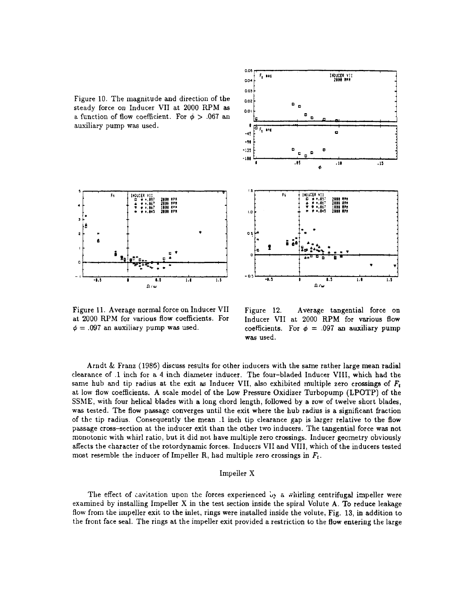Figure 10. The magnitude and direction of the steady force on Inducer VII at 2000 RPM as a function of flow coefficient. For  $\phi > .067$  and ausiliary pump **was** used.





Figure 11. Average normal force on Inducer VII at 2000 RPM for various **flow** coefficients. For  $\phi = .097$  an auxiliary pump was used.

Figure 12. Average tangential force on Inducer VII at 2000 RPM for various flow coefficients. For  $\phi = .097$  an auxiliary pump **was** used.

Arndt & Franz (1986) discuss results for other inducers with the same rather large **mean** radial clearance of **.1** inch for a 4 inch diameter inducer. The four-bladed Inducer VIII, which had the same hub and tip radius at the exit **as** Inducer VII, also exhibited multiple zero crossings of *Ft*  at low **flow** coefficients. A scale model of the Low Pressure Oxidizer Turbopump **(LPOTP)** of the SSME, with four helical blades with a long chord length, followed by a row of twelve short blades, **was** tested. The flow passage converges until the exit where the hub radius is a significant fraction of the tip radius. Consequently the mean **.1** inch tip clearance **gap** is larger relative to the flow passage cross-section at the inducer exit than the other two inducers. The tangential force was not monotonic with whirl ratio, but it did not have multiple zero crossings. Inducer geometry obviously affects the character of the rotordynamic forces. Inducers VII and VIII, which of the inducers tested most resemble the inducer of Impeller R, had multiple zero crossings in  $F_t$ .

# Impeller X

The effect of cavitation upon the forces experienced  $\mathbf{L}_{\mathbf{y}}$  a whirling centrifugal impeller were examined by installing Impeller X in the test section inside the spiral Volute A. To reduce leakage flow from the impeller exit to the inlet, rings were installed inside the volute, Fig. 13, in addition to the front face seal. The rings at the impeller exit provided a restriction to the flow entering the large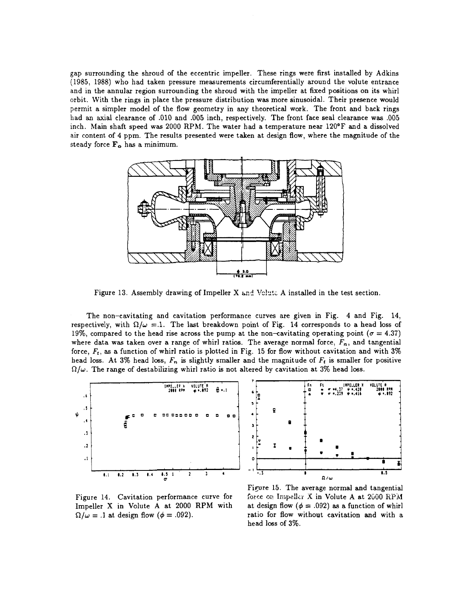gap surrounding the shroud of the eccentric impeller. These rings were first installed by Adkins (1985, 1988) who had taken pressure measurements circumferentially around the volute entrance and in the annular region surrounding the shroud with the impeller at fixed positions on its whirl orbit. With the rings in place the pressure distribution was more sinusoidal. Their presence would permit a simpler model of the flow geometry in any theoretical work. The front and back rings had an axial clearance of .010 and .005 inch, respectively. The front face seal clearance was .005 inch. Main shaft speed was 2000 **RPhl.** The water had a temperature near 120°F and a dissolved air content of 4 ppm. The results presented were taken at design flow, where the magnitude of the steady force  $\mathbf{F}_{\alpha}$  has a minimum.



Figure 13. Assembly drawing of Impeller  $X$  and Voluta A installed in the test section.

The non-cavitating and cavitation performance curves are given in Fig. **4** and Fig. 14, respectively, with  $\Omega/\omega = 1$ . The last breakdown point of Fig. 14 corresponds to a head loss of 19%, compared to the head rise across the pump at the non-cavitating operating point  $(\sigma = 4.37)$ where data was taken over a range of whirl ratios. The average normal force,  $F_n$ , and tangential force, Ft, as a function of whirl ratio is plotted in Fig. 15 for flow without cavitation and with **3%**  head loss. At **3%** head loss, *F,,* is slightly smaller and the magnitude of *Ft* is smaller for positive  $\Omega/\omega$ . The range of destabilizing whirl ratio is not altered by cavitation at 3% head loss.





Figure 14. Cavitation performance curve for Impeller X in Volute A at 2000 RPM with  $\Omega/\omega = .1$  at design flow ( $\phi = .092$ ).

Figure 15. The average normal and tangential force on kipdlir **X** in Volute **A** at **2600** RPM at design flow  $(\phi = .092)$  as a function of whirl ratio for flow without cavitation **and** with a head loss of **3%.**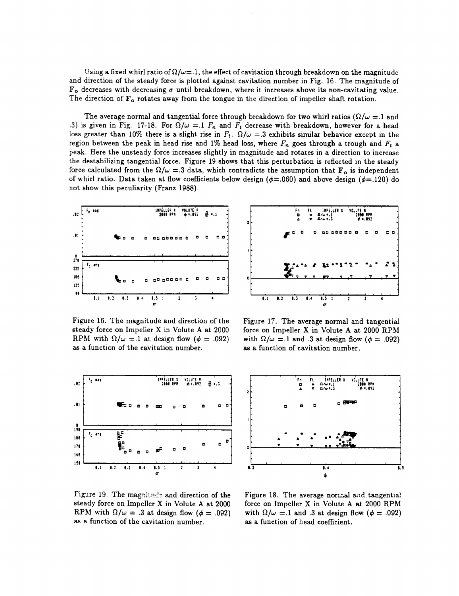Using a fixed whirl ratio of  $\Omega/\omega$ =.1, the effect of cavitation through breakdown on the magnitude and direction of the steady force is plotted against cavitation number in Fig. 16. The magnitude of  $F_o$  decreases with decreasing  $\sigma$  until breakdown, where it increases above its non-cavitating value. The direction of  $\mathbf{F}_{o}$  rotates away from the tongue in the direction of impeller shaft rotation.

The average normal and tangential force through breakdown for two whirl ratios  $(\Omega/\omega = 1$  and .3) is given in Fig. 17-18. For  $\Omega/\omega = 1$   $F_n$  and  $F_t$  decrease with breakdown, however for a head loss greater than 10% there is a slight rise in  $F_t$ .  $\Omega/\omega = 3$  exhibits similar behavior except in the region between the peak in head rise and 1% head loss, where  $F_n$  goes through a trough and  $F_t$  a peak. Here the unsteady force increases slightly in magnitude and rotates in a direction to increase the destabilizing tangential force. Figure 19 shows that this perturbation is reflected in the steady force calculated from the  $\Omega/\omega = 3$  data, which contradicts the assumption that  $\mathbf{F}_{o}$  is independent of whirl ratio. Data taken at flow coefficients below design ( $\phi$ =.060) and above design ( $\phi$ =.120) do not show this peculiarity (Franz 1988).



Figure 16. The magnitude and direction of the steady force on Impeller X in Volute A at 2000 RPM with  $\Omega/\omega = 1$  at design flow ( $\phi = .092$ ) **as** a function of the cavitation number.



Figure 17. The average normal and tangential force on Impeller X in Volute A at 2000 **RPhl**  with  $\Omega/\omega = 1$  and 3 at design flow ( $\phi = .092$ ) as a function of cavitation number.





Figure 19. The magnitude and direction of the steady force on Impeller X in Volute A at 2000 RPM with  $\Omega/\omega = .3$  at design flow ( $\phi = .092$ ) as a function of the cavitation number.

Figure 18. The average normal and tangentia! force on Impeller X in Volute A at 2000 **RPhl**  with  $\Omega/\omega = 1$  and **.3** at design flow ( $\phi = .092$ ) as a function of head coefficient.